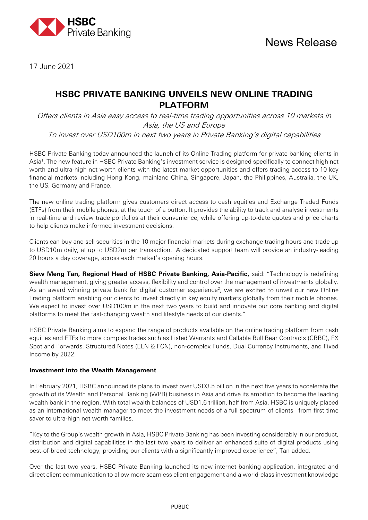

17 June 2021

# **HSBC PRIVATE BANKING UNVEILS NEW ONLINE TRADING PLATFORM**

Offers clients in Asia easy access to real-time trading opportunities across 10 markets in Asia, the US and Europe To invest over USD100m in next two years in Private Banking's digital capabilities

HSBC Private Banking today announced the launch of its Online Trading platform for private banking clients in Asia1 . The new feature in HSBC Private Banking's investment service is designed specifically to connect high net worth and ultra-high net worth clients with the latest market opportunities and offers trading access to 10 key financial markets including Hong Kong, mainland China, Singapore, Japan, the Philippines, Australia, the UK, the US, Germany and France.

The new online trading platform gives customers direct access to cash equities and Exchange Traded Funds (ETFs) from their mobile phones, at the touch of a button. It provides the ability to track and analyse investments in real-time and review trade portfolios at their convenience, while offering up-to-date quotes and price charts to help clients make informed investment decisions.

Clients can buy and sell securities in the 10 major financial markets during exchange trading hours and trade up to USD10m daily, at up to USD2m per transaction. A dedicated support team will provide an industry-leading 20 hours a day coverage, across each market's opening hours.

**Siew Meng Tan, Regional Head of HSBC Private Banking, Asia-Pacific,** said: "Technology is redefining wealth management, giving greater access, flexibility and control over the management of investments globally. As an award winning private bank for digital customer experience<sup>2</sup>, we are excited to unveil our new Online Trading platform enabling our clients to invest directly in key equity markets globally from their mobile phones. We expect to invest over USD100m in the next two years to build and innovate our core banking and digital platforms to meet the fast-changing wealth and lifestyle needs of our clients."

HSBC Private Banking aims to expand the range of products available on the online trading platform from cash equities and ETFs to more complex trades such as Listed Warrants and Callable Bull Bear Contracts (CBBC), FX Spot and Forwards, Structured Notes (ELN & FCN), non-complex Funds, Dual Currency Instruments, and Fixed Income by 2022.

### **Investment into the Wealth Management**

In February 2021, HSBC announced its plans to invest over USD3.5 billion in the next five years to accelerate the growth of its Wealth and Personal Banking (WPB) business in Asia and drive its ambition to become the leading wealth bank in the region. With total wealth balances of USD1.6 trillion, half from Asia, HSBC is uniquely placed as an international wealth manager to meet the investment needs of a full spectrum of clients –from first time saver to ultra-high net worth families.

"Key to the Group's wealth growth in Asia, HSBC Private Banking has been investing considerably in our product, distribution and digital capabilities in the last two years to deliver an enhanced suite of digital products using best-of-breed technology, providing our clients with a significantly improved experience", Tan added.

Over the last two years, HSBC Private Banking launched its new internet banking application, integrated and direct client communication to allow more seamless client engagement and a world-class investment knowledge